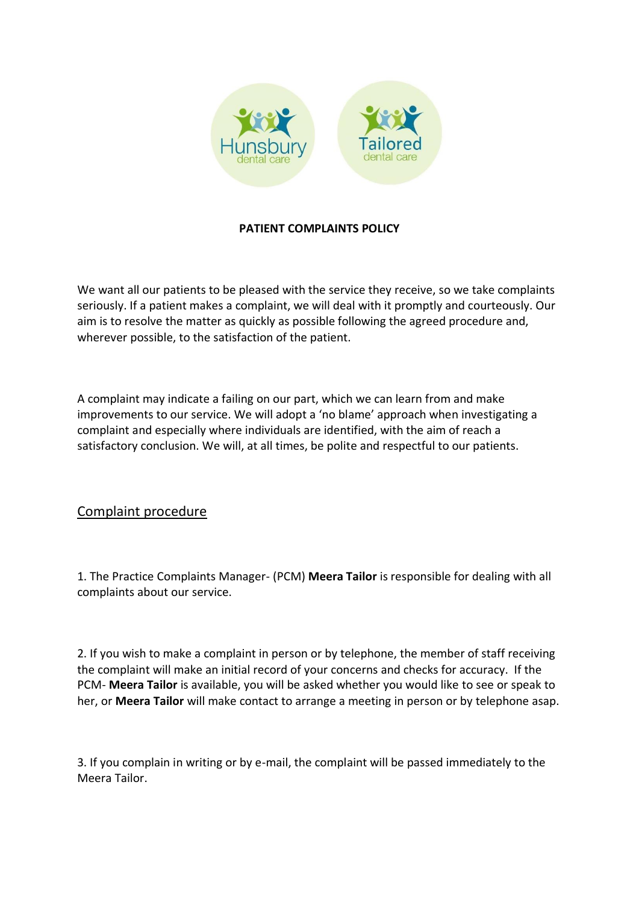

## **PATIENT COMPLAINTS POLICY**

We want all our patients to be pleased with the service they receive, so we take complaints seriously. If a patient makes a complaint, we will deal with it promptly and courteously. Our aim is to resolve the matter as quickly as possible following the agreed procedure and, wherever possible, to the satisfaction of the patient.

A complaint may indicate a failing on our part, which we can learn from and make improvements to our service. We will adopt a 'no blame' approach when investigating a complaint and especially where individuals are identified, with the aim of reach a satisfactory conclusion. We will, at all times, be polite and respectful to our patients.

# Complaint procedure

1. The Practice Complaints Manager- (PCM) **Meera Tailor** is responsible for dealing with all complaints about our service.

2. If you wish to make a complaint in person or by telephone, the member of staff receiving the complaint will make an initial record of your concerns and checks for accuracy. If the PCM- **Meera Tailor** is available, you will be asked whether you would like to see or speak to her, or **Meera Tailor** will make contact to arrange a meeting in person or by telephone asap.

3. If you complain in writing or by e-mail, the complaint will be passed immediately to the Meera Tailor.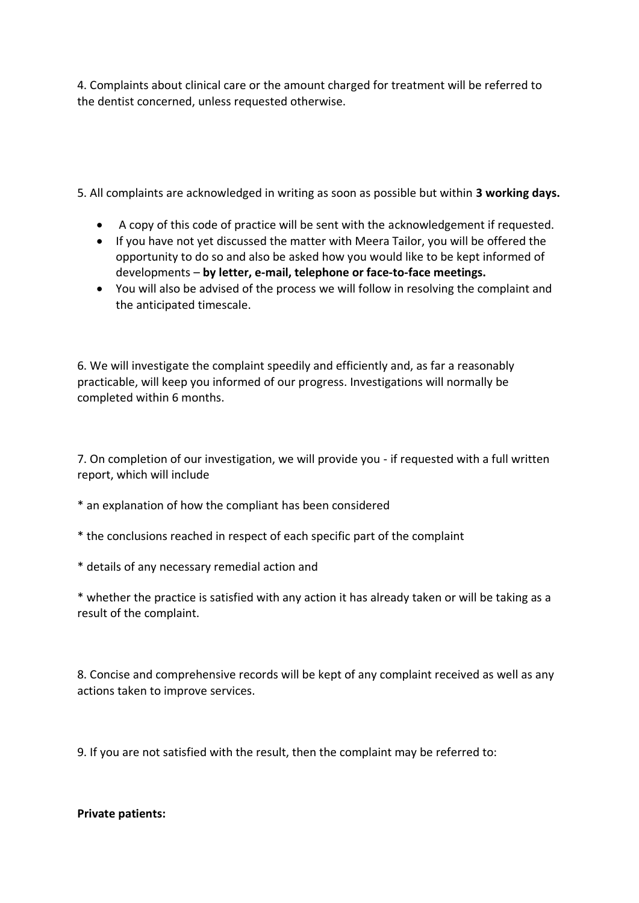4. Complaints about clinical care or the amount charged for treatment will be referred to the dentist concerned, unless requested otherwise.

5. All complaints are acknowledged in writing as soon as possible but within **3 working days.**

- A copy of this code of practice will be sent with the acknowledgement if requested.
- If you have not yet discussed the matter with Meera Tailor, you will be offered the opportunity to do so and also be asked how you would like to be kept informed of developments – **by letter, e-mail, telephone or face-to-face meetings.**
- You will also be advised of the process we will follow in resolving the complaint and the anticipated timescale.

6. We will investigate the complaint speedily and efficiently and, as far a reasonably practicable, will keep you informed of our progress. Investigations will normally be completed within 6 months.

7. On completion of our investigation, we will provide you - if requested with a full written report, which will include

- \* an explanation of how the compliant has been considered
- \* the conclusions reached in respect of each specific part of the complaint
- \* details of any necessary remedial action and

\* whether the practice is satisfied with any action it has already taken or will be taking as a result of the complaint.

8. Concise and comprehensive records will be kept of any complaint received as well as any actions taken to improve services.

9. If you are not satisfied with the result, then the complaint may be referred to:

#### **Private patients:**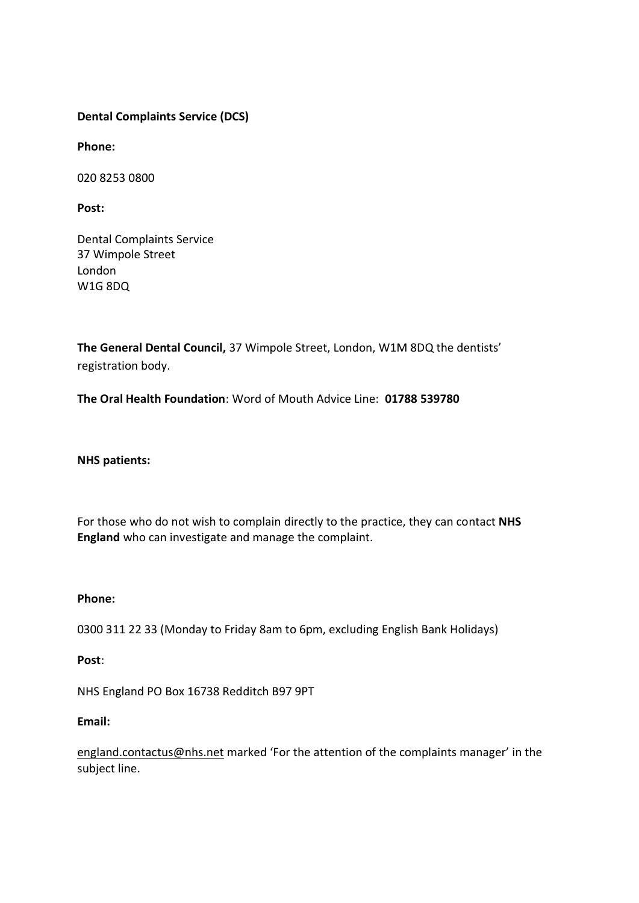## **[Dental Complaints Service \(DCS\)](https://dcs.gdc-uk.org/)**

**Phone:**

020 8253 0800

**Post:**

Dental Complaints Service 37 Wimpole Street London W1G 8DQ

**The General Dental Council,** 37 Wimpole Street, London, W1M 8DQ the dentists' registration body.

**The Oral Health Foundation**: Word of Mouth Advice Line: **01788 539780**

**NHS patients:**

For those who do not wish to complain directly to the practice, they can contact **NHS England** who can investigate and manage the complaint.

#### **Phone:**

0300 311 22 33 (Monday to Friday 8am to 6pm, excluding English Bank Holidays)

**Post**:

NHS England PO Box 16738 Redditch B97 9PT

### **Email:**

[england.contactus@nhs.net](mailto:england.contactus@nhs.net) marked 'For the attention of the complaints manager' in the subject line.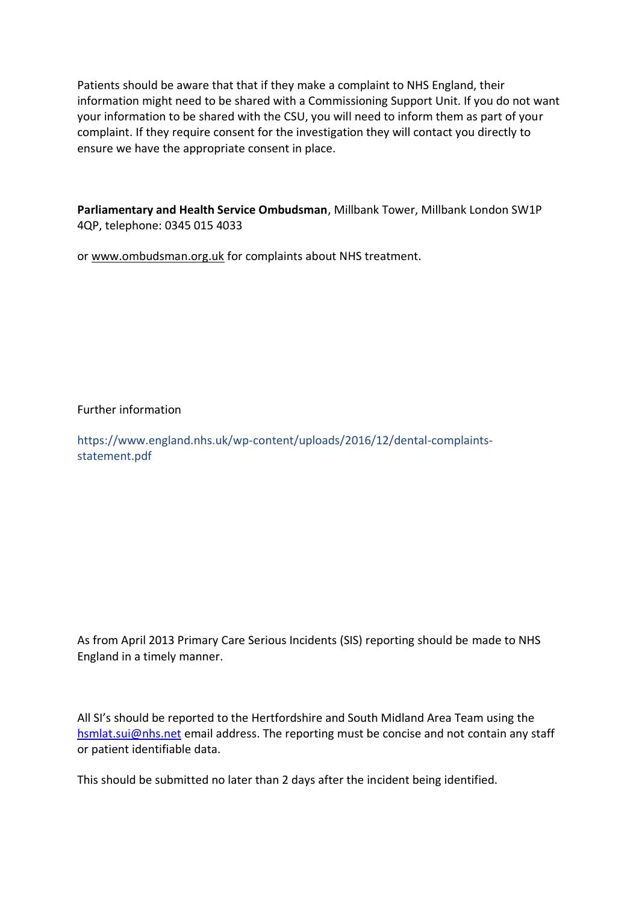Patients should be aware that that if they make a complaint to NHS England, their information might need to be shared with a Commissioning Support Unit. If you do not want your information to be shared with the CSU, you will need to inform them as part of your complaint. If they require consent for the investigation they will contact you directly to ensure we have the appropriate consent in place.

**Parliamentary and Health Service Ombudsman**, Millbank Tower, Millbank London SW1P 4QP, telephone: 0345 015 4033

or www.ombudsman.org.uk for complaints about NHS treatment.

Further information

https://www.england.nhs.uk/wp-content/uploads/2016/12/dental-complaintsstatement.pdf

As from April 2013 Primary Care Serious Incidents (SIS) reporting should be made to NHS England in a timely manner.

All SI's should be reported to the Hertfordshire and South Midland Area Team using the [hsmlat.sui@nhs.net](mailto:hsmlat.sui@nhs.net) email address. The reporting must be concise and not contain any staff or patient identifiable data.

This should be submitted no later than 2 days after the incident being identified.